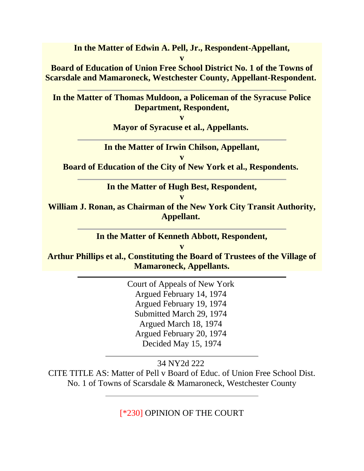**In the Matter of Edwin A. Pell, Jr., Respondent-Appellant,**

**v Board of Education of Union Free School District No. 1 of the Towns of Scarsdale and Mamaroneck, Westchester County, Appellant-Respondent.**

**In the Matter of Thomas Muldoon, a Policeman of the Syracuse Police Department, Respondent,**

**v**

**Mayor of Syracuse et al., Appellants.**

**In the Matter of Irwin Chilson, Appellant,**

**v Board of Education of the City of New York et al., Respondents.**

**In the Matter of Hugh Best, Respondent,**

**v**

**William J. Ronan, as Chairman of the New York City Transit Authority, Appellant.**

**In the Matter of Kenneth Abbott, Respondent,**

**v Arthur Phillips et al., Constituting the Board of Trustees of the Village of Mamaroneck, Appellants.**

> Court of Appeals of New York Argued February 14, 1974 Argued February 19, 1974 Submitted March 29, 1974 Argued March 18, 1974 Argued February 20, 1974 Decided May 15, 1974

> > 34 NY2d 222

CITE TITLE AS: Matter of Pell v Board of Educ. of Union Free School Dist. No. 1 of Towns of Scarsdale & Mamaroneck, Westchester County

[\*230] OPINION OF THE COURT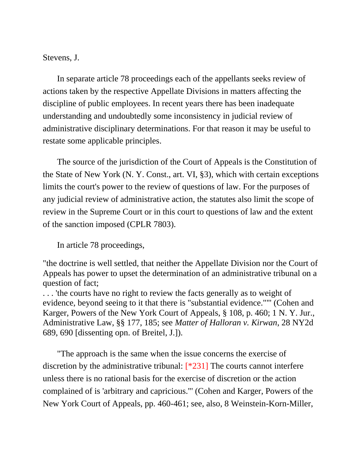Stevens, J.

In separate article 78 proceedings each of the appellants seeks review of actions taken by the respective Appellate Divisions in matters affecting the discipline of public employees. In recent years there has been inadequate understanding and undoubtedly some inconsistency in judicial review of administrative disciplinary determinations. For that reason it may be useful to restate some applicable principles.

The source of the jurisdiction of the Court of Appeals is the Constitution of the State of New York (N. Y. Const., art. VI, §3), which with certain exceptions limits the court's power to the review of questions of law. For the purposes of any judicial review of administrative action, the statutes also limit the scope of review in the Supreme Court or in this court to questions of law and the extent of the sanction imposed (CPLR 7803).

In article 78 proceedings,

"the doctrine is well settled, that neither the Appellate Division nor the Court of Appeals has power to upset the determination of an administrative tribunal on a question of fact;

. . . 'the courts have no right to review the facts generally as to weight of evidence, beyond seeing to it that there is "substantial evidence.""' (Cohen and Karger, Powers of the New York Court of Appeals, § 108, p. 460; 1 N. Y. Jur., Administrative Law, §§ 177, 185; see *Matter of Halloran v. Kirwan*, 28 NY2d 689, 690 [dissenting opn. of Breitel, J.]).

"The approach is the same when the issue concerns the exercise of discretion by the administrative tribunal: [\*231] The courts cannot interfere unless there is no rational basis for the exercise of discretion or the action complained of is 'arbitrary and capricious."' (Cohen and Karger, Powers of the New York Court of Appeals, pp. 460-461; see, also, 8 Weinstein-Korn-Miller,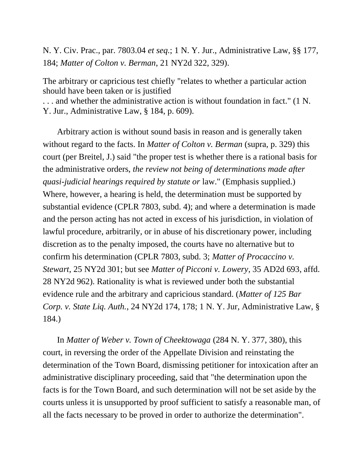N. Y. Civ. Prac., par. 7803.04 *et seq.*; 1 N. Y. Jur., Administrative Law, §§ 177, 184; *Matter of Colton v. Berman*, 21 NY2d 322, 329).

The arbitrary or capricious test chiefly "relates to whether a particular action should have been taken or is justified

. . . and whether the administrative action is without foundation in fact." (1 N. Y. Jur., Administrative Law, § 184, p. 609).

Arbitrary action is without sound basis in reason and is generally taken without regard to the facts. In *Matter of Colton v. Berman* (supra, p. 329) this court (per Breitel, J.) said "the proper test is whether there is a rational basis for the administrative orders, *the review not being of determinations made after quasi-judicial hearings required by statute or* law." (Emphasis supplied.) Where, however, a hearing is held, the determination must be supported by substantial evidence (CPLR 7803, subd. 4); and where a determination is made and the person acting has not acted in excess of his jurisdiction, in violation of lawful procedure, arbitrarily, or in abuse of his discretionary power, including discretion as to the penalty imposed, the courts have no alternative but to confirm his determination (CPLR 7803, subd. 3; *Matter of Procaccino v. Stewart*, 25 NY2d 301; but see *Matter of Picconi v. Lowery*, 35 AD2d 693, affd. 28 NY2d 962). Rationality is what is reviewed under both the substantial evidence rule and the arbitrary and capricious standard. (*Matter of 125 Bar Corp. v. State Liq. Auth.*, 24 NY2d 174, 178; 1 N. Y. Jur, Administrative Law, § 184.)

In *Matter of Weber v. Town of Cheektowaga* (284 N. Y. 377, 380), this court, in reversing the order of the Appellate Division and reinstating the determination of the Town Board, dismissing petitioner for intoxication after an administrative disciplinary proceeding, said that "the determination upon the facts is for the Town Board, and such determination will not be set aside by the courts unless it is unsupported by proof sufficient to satisfy a reasonable man, of all the facts necessary to be proved in order to authorize the determination".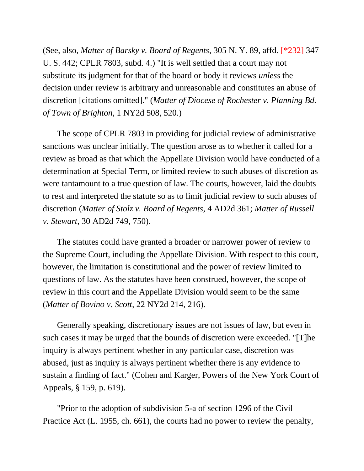(See, also, *Matter of Barsky v. Board of Regents*, 305 N. Y. 89, affd. [\*232] 347 U. S. 442; CPLR 7803, subd. 4.) "It is well settled that a court may not substitute its judgment for that of the board or body it reviews *unless* the decision under review is arbitrary and unreasonable and constitutes an abuse of discretion [citations omitted]." (*Matter of Diocese of Rochester v. Planning Bd. of Town of Brighton*, 1 NY2d 508, 520.)

The scope of CPLR 7803 in providing for judicial review of administrative sanctions was unclear initially. The question arose as to whether it called for a review as broad as that which the Appellate Division would have conducted of a determination at Special Term, or limited review to such abuses of discretion as were tantamount to a true question of law. The courts, however, laid the doubts to rest and interpreted the statute so as to limit judicial review to such abuses of discretion (*Matter of Stolz v. Board of Regents*, 4 AD2d 361; *Matter of Russell v. Stewart*, 30 AD2d 749, 750).

The statutes could have granted a broader or narrower power of review to the Supreme Court, including the Appellate Division. With respect to this court, however, the limitation is constitutional and the power of review limited to questions of law. As the statutes have been construed, however, the scope of review in this court and the Appellate Division would seem to be the same (*Matter of Bovino v. Scott*, 22 NY2d 214, 216).

Generally speaking, discretionary issues are not issues of law, but even in such cases it may be urged that the bounds of discretion were exceeded. "[T]he inquiry is always pertinent whether in any particular case, discretion was abused, just as inquiry is always pertinent whether there is any evidence to sustain a finding of fact." (Cohen and Karger, Powers of the New York Court of Appeals, § 159, p. 619).

"Prior to the adoption of subdivision 5-a of section 1296 of the Civil Practice Act (L. 1955, ch. 661), the courts had no power to review the penalty,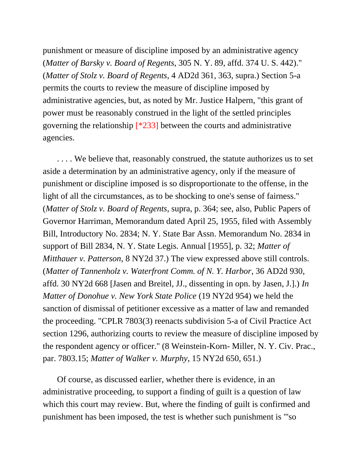punishment or measure of discipline imposed by an administrative agency (*Matter of Barsky v. Board of Regents*, 305 N. Y. 89, affd. 374 U. S. 442)." (*Matter of Stolz v. Board of Regents*, 4 AD2d 361, 363, supra.) Section 5-a permits the courts to review the measure of discipline imposed by administrative agencies, but, as noted by Mr. Justice Halpern, "this grant of power must be reasonably construed in the light of the settled principles governing the relationship [\*233] between the courts and administrative agencies.

. . . . We believe that, reasonably construed, the statute authorizes us to set aside a determination by an administrative agency, only if the measure of punishment or discipline imposed is so disproportionate to the offense, in the light of all the circumstances, as to be shocking to one's sense of fairness." (*Matter of Stolz v. Board of Regents*, supra, p. 364; see, also, Public Papers of Governor Harriman, Memorandum dated April 25, 1955, filed with Assembly Bill, Introductory No. 2834; N. Y. State Bar Assn. Memorandum No. 2834 in support of Bill 2834, N. Y. State Legis. Annual [1955], p. 32; *Matter of Mitthauer v. Patterson*, 8 NY2d 37.) The view expressed above still controls. (*Matter of Tannenholz v. Waterfront Comm. of N. Y. Harbor*, 36 AD2d 930, affd. 30 NY2d 668 [Jasen and Breitel, JJ., dissenting in opn. by Jasen, J.].) *In Matter of Donohue v. New York State Police* (19 NY2d 954) we held the sanction of dismissal of petitioner excessive as a matter of law and remanded the proceeding. "CPLR 7803(3) reenacts subdivision 5-a of Civil Practice Act section 1296, authorizing courts to review the measure of discipline imposed by the respondent agency or officer." (8 Weinstein-Korn- Miller, N. Y. Civ. Prac., par. 7803.15; *Matter of Walker v. Murphy*, 15 NY2d 650, 651.)

Of course, as discussed earlier, whether there is evidence, in an administrative proceeding, to support a finding of guilt is a question of law which this court may review. But, where the finding of guilt is confirmed and punishment has been imposed, the test is whether such punishment is "'so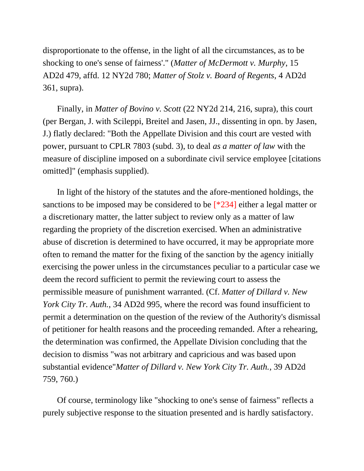disproportionate to the offense, in the light of all the circumstances, as to be shocking to one's sense of fairness'." (*Matter of McDermott v. Murphy*, 15 AD2d 479, affd. 12 NY2d 780; *Matter of Stolz v. Board of Regents*, 4 AD2d 361, supra).

Finally, in *Matter of Bovino v. Scott* (22 NY2d 214, 216, supra), this court (per Bergan, J. with Scileppi, Breitel and Jasen, JJ., dissenting in opn. by Jasen, J.) flatly declared: "Both the Appellate Division and this court are vested with power, pursuant to CPLR 7803 (subd. 3), to deal *as a matter of law* with the measure of discipline imposed on a subordinate civil service employee [citations omitted]" (emphasis supplied).

In light of the history of the statutes and the afore-mentioned holdings, the sanctions to be imposed may be considered to be [\*234] either a legal matter or a discretionary matter, the latter subject to review only as a matter of law regarding the propriety of the discretion exercised. When an administrative abuse of discretion is determined to have occurred, it may be appropriate more often to remand the matter for the fixing of the sanction by the agency initially exercising the power unless in the circumstances peculiar to a particular case we deem the record sufficient to permit the reviewing court to assess the permissible measure of punishment warranted. (Cf. *Matter of Dillard v. New York City Tr. Auth.*, 34 AD2d 995, where the record was found insufficient to permit a determination on the question of the review of the Authority's dismissal of petitioner for health reasons and the proceeding remanded. After a rehearing, the determination was confirmed, the Appellate Division concluding that the decision to dismiss "was not arbitrary and capricious and was based upon substantial evidence"*Matter of Dillard v. New York City Tr. Auth.*, 39 AD2d 759, 760.)

Of course, terminology like "shocking to one's sense of fairness" reflects a purely subjective response to the situation presented and is hardly satisfactory.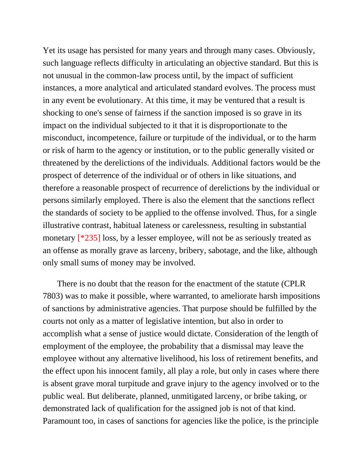Yet its usage has persisted for many years and through many cases. Obviously, such language reflects difficulty in articulating an objective standard. But this is not unusual in the common-law process until, by the impact of sufficient instances, a more analytical and articulated standard evolves. The process must in any event be evolutionary. At this time, it may be ventured that a result is shocking to one's sense of fairness if the sanction imposed is so grave in its impact on the individual subjected to it that it is disproportionate to the misconduct, incompetence, failure or turpitude of the individual, or to the harm or risk of harm to the agency or institution, or to the public generally visited or threatened by the derelictions of the individuals. Additional factors would be the prospect of deterrence of the individual or of others in like situations, and therefore a reasonable prospect of recurrence of derelictions by the individual or persons similarly employed. There is also the element that the sanctions reflect the standards of society to be applied to the offense involved. Thus, for a single illustrative contrast, habitual lateness or carelessness, resulting in substantial monetary [\*235] loss, by a lesser employee, will not be as seriously treated as an offense as morally grave as larceny, bribery, sabotage, and the like, although only small sums of money may be involved.

There is no doubt that the reason for the enactment of the statute (CPLR 7803) was to make it possible, where warranted, to ameliorate harsh impositions of sanctions by administrative agencies. That purpose should be fulfilled by the courts not only as a matter of legislative intention, but also in order to accomplish what a sense of justice would dictate. Consideration of the length of employment of the employee, the probability that a dismissal may leave the employee without any alternative livelihood, his loss of retirement benefits, and the effect upon his innocent family, all play a role, but only in cases where there is absent grave moral turpitude and grave injury to the agency involved or to the public weal. But deliberate, planned, unmitigated larceny, or bribe taking, or demonstrated lack of qualification for the assigned job is not of that kind. Paramount too, in cases of sanctions for agencies like the police, is the principle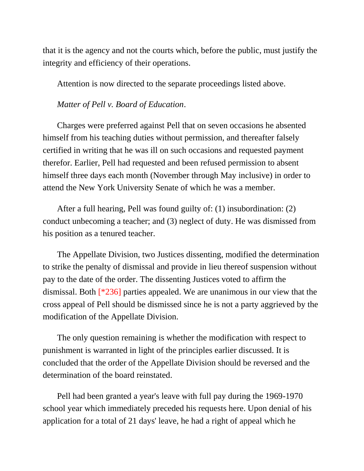that it is the agency and not the courts which, before the public, must justify the integrity and efficiency of their operations.

Attention is now directed to the separate proceedings listed above.

#### *Matter of Pell v. Board of Education*.

Charges were preferred against Pell that on seven occasions he absented himself from his teaching duties without permission, and thereafter falsely certified in writing that he was ill on such occasions and requested payment therefor. Earlier, Pell had requested and been refused permission to absent himself three days each month (November through May inclusive) in order to attend the New York University Senate of which he was a member.

After a full hearing, Pell was found guilty of: (1) insubordination: (2) conduct unbecoming a teacher; and (3) neglect of duty. He was dismissed from his position as a tenured teacher.

The Appellate Division, two Justices dissenting, modified the determination to strike the penalty of dismissal and provide in lieu thereof suspension without pay to the date of the order. The dissenting Justices voted to affirm the dismissal. Both [\*236] parties appealed. We are unanimous in our view that the cross appeal of Pell should be dismissed since he is not a party aggrieved by the modification of the Appellate Division.

The only question remaining is whether the modification with respect to punishment is warranted in light of the principles earlier discussed. It is concluded that the order of the Appellate Division should be reversed and the determination of the board reinstated.

Pell had been granted a year's leave with full pay during the 1969-1970 school year which immediately preceded his requests here. Upon denial of his application for a total of 21 days' leave, he had a right of appeal which he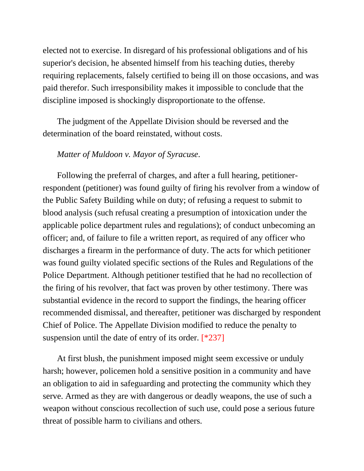elected not to exercise. In disregard of his professional obligations and of his superior's decision, he absented himself from his teaching duties, thereby requiring replacements, falsely certified to being ill on those occasions, and was paid therefor. Such irresponsibility makes it impossible to conclude that the discipline imposed is shockingly disproportionate to the offense.

The judgment of the Appellate Division should be reversed and the determination of the board reinstated, without costs.

# *Matter of Muldoon v. Mayor of Syracuse*.

Following the preferral of charges, and after a full hearing, petitionerrespondent (petitioner) was found guilty of firing his revolver from a window of the Public Safety Building while on duty; of refusing a request to submit to blood analysis (such refusal creating a presumption of intoxication under the applicable police department rules and regulations); of conduct unbecoming an officer; and, of failure to file a written report, as required of any officer who discharges a firearm in the performance of duty. The acts for which petitioner was found guilty violated specific sections of the Rules and Regulations of the Police Department. Although petitioner testified that he had no recollection of the firing of his revolver, that fact was proven by other testimony. There was substantial evidence in the record to support the findings, the hearing officer recommended dismissal, and thereafter, petitioner was discharged by respondent Chief of Police. The Appellate Division modified to reduce the penalty to suspension until the date of entry of its order.  $[*237]$ 

At first blush, the punishment imposed might seem excessive or unduly harsh; however, policemen hold a sensitive position in a community and have an obligation to aid in safeguarding and protecting the community which they serve. Armed as they are with dangerous or deadly weapons, the use of such a weapon without conscious recollection of such use, could pose a serious future threat of possible harm to civilians and others.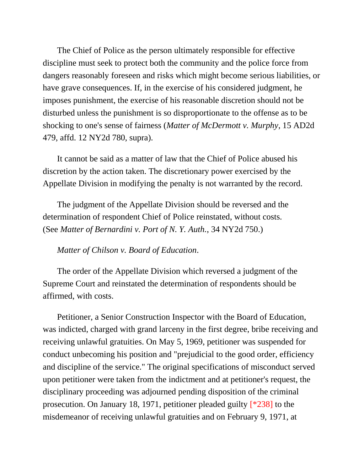The Chief of Police as the person ultimately responsible for effective discipline must seek to protect both the community and the police force from dangers reasonably foreseen and risks which might become serious liabilities, or have grave consequences. If, in the exercise of his considered judgment, he imposes punishment, the exercise of his reasonable discretion should not be disturbed unless the punishment is so disproportionate to the offense as to be shocking to one's sense of fairness (*Matter of McDermott v. Murphy*, 15 AD2d 479, affd. 12 NY2d 780, supra).

It cannot be said as a matter of law that the Chief of Police abused his discretion by the action taken. The discretionary power exercised by the Appellate Division in modifying the penalty is not warranted by the record.

The judgment of the Appellate Division should be reversed and the determination of respondent Chief of Police reinstated, without costs. (See *Matter of Bernardini v. Port of N. Y. Auth.*, 34 NY2d 750.)

### *Matter of Chilson v. Board of Education*.

The order of the Appellate Division which reversed a judgment of the Supreme Court and reinstated the determination of respondents should be affirmed, with costs.

Petitioner, a Senior Construction Inspector with the Board of Education, was indicted, charged with grand larceny in the first degree, bribe receiving and receiving unlawful gratuities. On May 5, 1969, petitioner was suspended for conduct unbecoming his position and "prejudicial to the good order, efficiency and discipline of the service." The original specifications of misconduct served upon petitioner were taken from the indictment and at petitioner's request, the disciplinary proceeding was adjourned pending disposition of the criminal prosecution. On January 18, 1971, petitioner pleaded guilty [\*238] to the misdemeanor of receiving unlawful gratuities and on February 9, 1971, at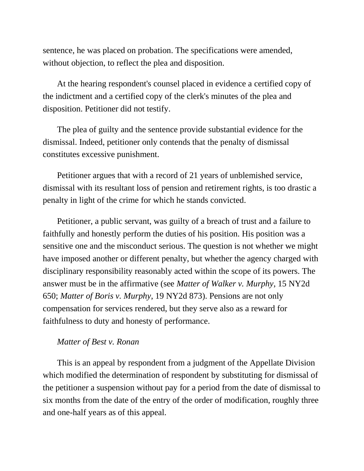sentence, he was placed on probation. The specifications were amended, without objection, to reflect the plea and disposition.

At the hearing respondent's counsel placed in evidence a certified copy of the indictment and a certified copy of the clerk's minutes of the plea and disposition. Petitioner did not testify.

The plea of guilty and the sentence provide substantial evidence for the dismissal. Indeed, petitioner only contends that the penalty of dismissal constitutes excessive punishment.

Petitioner argues that with a record of 21 years of unblemished service, dismissal with its resultant loss of pension and retirement rights, is too drastic a penalty in light of the crime for which he stands convicted.

Petitioner, a public servant, was guilty of a breach of trust and a failure to faithfully and honestly perform the duties of his position. His position was a sensitive one and the misconduct serious. The question is not whether we might have imposed another or different penalty, but whether the agency charged with disciplinary responsibility reasonably acted within the scope of its powers. The answer must be in the affirmative (see *Matter of Walker v. Murphy*, 15 NY2d 650; *Matter of Boris v. Murphy*, 19 NY2d 873). Pensions are not only compensation for services rendered, but they serve also as a reward for faithfulness to duty and honesty of performance.

## *Matter of Best v. Ronan*

This is an appeal by respondent from a judgment of the Appellate Division which modified the determination of respondent by substituting for dismissal of the petitioner a suspension without pay for a period from the date of dismissal to six months from the date of the entry of the order of modification, roughly three and one-half years as of this appeal.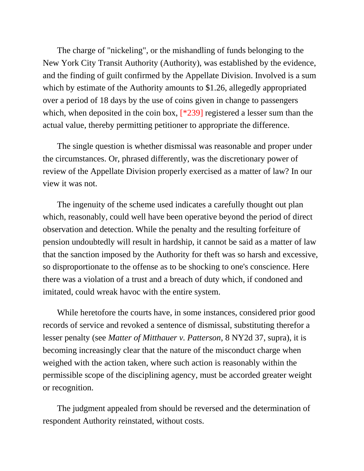The charge of "nickeling", or the mishandling of funds belonging to the New York City Transit Authority (Authority), was established by the evidence, and the finding of guilt confirmed by the Appellate Division. Involved is a sum which by estimate of the Authority amounts to \$1.26, allegedly appropriated over a period of 18 days by the use of coins given in change to passengers which, when deposited in the coin box,  $[^*239]$  registered a lesser sum than the actual value, thereby permitting petitioner to appropriate the difference.

The single question is whether dismissal was reasonable and proper under the circumstances. Or, phrased differently, was the discretionary power of review of the Appellate Division properly exercised as a matter of law? In our view it was not.

The ingenuity of the scheme used indicates a carefully thought out plan which, reasonably, could well have been operative beyond the period of direct observation and detection. While the penalty and the resulting forfeiture of pension undoubtedly will result in hardship, it cannot be said as a matter of law that the sanction imposed by the Authority for theft was so harsh and excessive, so disproportionate to the offense as to be shocking to one's conscience. Here there was a violation of a trust and a breach of duty which, if condoned and imitated, could wreak havoc with the entire system.

While heretofore the courts have, in some instances, considered prior good records of service and revoked a sentence of dismissal, substituting therefor a lesser penalty (see *Matter of Mitthauer v. Patterson*, 8 NY2d 37, supra), it is becoming increasingly clear that the nature of the misconduct charge when weighed with the action taken, where such action is reasonably within the permissible scope of the disciplining agency, must be accorded greater weight or recognition.

The judgment appealed from should be reversed and the determination of respondent Authority reinstated, without costs.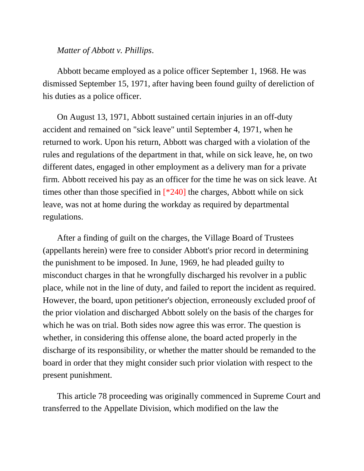#### *Matter of Abbott v. Phillips*.

Abbott became employed as a police officer September 1, 1968. He was dismissed September 15, 1971, after having been found guilty of dereliction of his duties as a police officer.

On August 13, 1971, Abbott sustained certain injuries in an off-duty accident and remained on "sick leave" until September 4, 1971, when he returned to work. Upon his return, Abbott was charged with a violation of the rules and regulations of the department in that, while on sick leave, he, on two different dates, engaged in other employment as a delivery man for a private firm. Abbott received his pay as an officer for the time he was on sick leave. At times other than those specified in [\*240] the charges, Abbott while on sick leave, was not at home during the workday as required by departmental regulations.

After a finding of guilt on the charges, the Village Board of Trustees (appellants herein) were free to consider Abbott's prior record in determining the punishment to be imposed. In June, 1969, he had pleaded guilty to misconduct charges in that he wrongfully discharged his revolver in a public place, while not in the line of duty, and failed to report the incident as required. However, the board, upon petitioner's objection, erroneously excluded proof of the prior violation and discharged Abbott solely on the basis of the charges for which he was on trial. Both sides now agree this was error. The question is whether, in considering this offense alone, the board acted properly in the discharge of its responsibility, or whether the matter should be remanded to the board in order that they might consider such prior violation with respect to the present punishment.

This article 78 proceeding was originally commenced in Supreme Court and transferred to the Appellate Division, which modified on the law the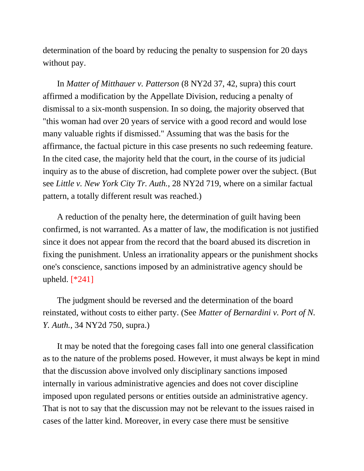determination of the board by reducing the penalty to suspension for 20 days without pay.

In *Matter of Mitthauer v. Patterson* (8 NY2d 37, 42, supra) this court affirmed a modification by the Appellate Division, reducing a penalty of dismissal to a six-month suspension. In so doing, the majority observed that "this woman had over 20 years of service with a good record and would lose many valuable rights if dismissed." Assuming that was the basis for the affirmance, the factual picture in this case presents no such redeeming feature. In the cited case, the majority held that the court, in the course of its judicial inquiry as to the abuse of discretion, had complete power over the subject. (But see *Little v. New York City Tr. Auth.*, 28 NY2d 719, where on a similar factual pattern, a totally different result was reached.)

A reduction of the penalty here, the determination of guilt having been confirmed, is not warranted. As a matter of law, the modification is not justified since it does not appear from the record that the board abused its discretion in fixing the punishment. Unless an irrationality appears or the punishment shocks one's conscience, sanctions imposed by an administrative agency should be upheld. [\*241]

The judgment should be reversed and the determination of the board reinstated, without costs to either party. (See *Matter of Bernardini v. Port of N. Y. Auth.*, 34 NY2d 750, supra.)

It may be noted that the foregoing cases fall into one general classification as to the nature of the problems posed. However, it must always be kept in mind that the discussion above involved only disciplinary sanctions imposed internally in various administrative agencies and does not cover discipline imposed upon regulated persons or entities outside an administrative agency. That is not to say that the discussion may not be relevant to the issues raised in cases of the latter kind. Moreover, in every case there must be sensitive